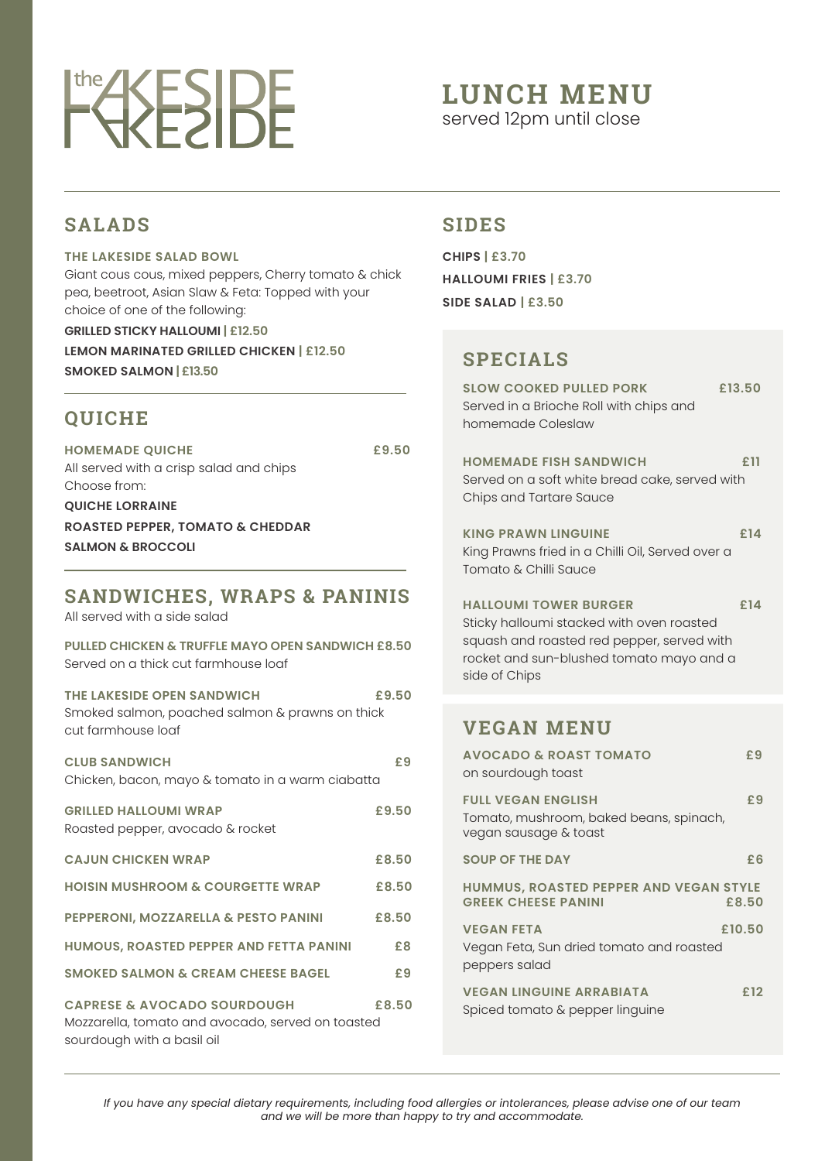# **EXESIDE**

## **LUNCH MENU**

served 12pm until close

#### **SALADS**

#### **THE LAKESIDE SALAD BOWL**

Giant cous cous, mixed peppers, Cherry tomato & chick pea, beetroot, Asian Slaw & Feta: Topped with your choice of one of the following:

**LEMON MARINATED GRILLED CHICKEN | £12.50 SMOKED SALMON | £13.50**

#### **QUICHE**

**HOMEMADE QUICHE £9.50** All served with a crisp salad and chips Choose from:

**QUICHE LORRAINE ROASTED PEPPER, TOMATO & CHEDDAR SALMON & BROCCOLI**

#### **SANDWICHES, WRAPS & PANINIS**

All served with a side salad

sourdough with a basil oil

**PULLED CHICKEN & TRUFFLE MAYO OPEN SANDWICH £8.50** Served on a thick cut farmhouse loaf

#### **THE LAKESIDE OPEN SANDWICH £9.50** Smoked salmon, poached salmon & prawns on thick cut farmhouse loaf

**CLUB SANDWICH £9** Chicken, bacon, mayo & tomato in a warm ciabatta

| <b>GRILLED HALLOUMI WRAP</b><br>Roasted pepper, avocado & rocket                            | £9.50 |
|---------------------------------------------------------------------------------------------|-------|
| <b>CAJUN CHICKEN WRAP</b>                                                                   | £8.50 |
| <b>HOISIN MUSHROOM &amp; COURGETTE WRAP</b>                                                 | £8.50 |
| <b>PEPPERONI, MOZZARELLA &amp; PESTO PANINI</b>                                             | £8.50 |
| <b>HUMOUS, ROASTED PEPPER AND FETTA PANINI</b>                                              | £8    |
| <b>SMOKED SALMON &amp; CREAM CHEESE BAGEL</b>                                               | £9    |
| <b>CAPRESE &amp; AVOCADO SOURDOUGH</b><br>Mozzarella, tomato and avocado, served on toasted | £8.50 |

**GRILLED STICKY HALLOUMI | £12.50**

### **SIDES**

**CHIPS | £3.70 HALLOUMI FRIES | £3.70 SIDE SALAD | £3.50**

### **SPECIALS**

| <b>SLOW COOKED PULLED PORK</b><br>Served in a Brioche Roll with chips and<br>homemade Coleslaw             | £13.50 |
|------------------------------------------------------------------------------------------------------------|--------|
| <b>HOMEMADE FISH SANDWICH</b><br>Served on a soft white bread cake, served with<br>Chips and Tartare Sauce | £ 11   |
| <b>KING PRAWN LINGUINE</b><br>King Prawns fried in a Chilli Oil, Served over a<br>Tomato & Chilli Sauce    | £14    |
| <b>HAIIOUMI TOWER BURGER</b>                                                                               |        |

Sticky halloumi stacked with oven roasted squash and roasted red pepper, served with rocket and sun-blushed tomato mayo and a side of Chips

#### **VEGAN MENU**

| <b>AVOCADO &amp; ROAST TOMATO</b><br>on sourdough toast                                       | £9  |
|-----------------------------------------------------------------------------------------------|-----|
| <b>FULL VEGAN ENGLISH</b><br>Tomato, mushroom, baked beans, spinach,<br>vegan sausage & toast | £9  |
| <b>SOUP OF THE DAY</b>                                                                        | £6  |
| <b>HUMMUS, ROASTED PEPPER AND VEGAN STYLE</b><br><b>GREEK CHEESE PANINI</b><br>£8.50          |     |
| £10.50<br><b>VEGAN FETA</b><br>Vegan Feta, Sun dried tomato and roasted<br>peppers salad      |     |
| <b>VEGAN LINGUINE ARRABIATA</b><br>Spiced tomato & pepper linguine                            | £12 |